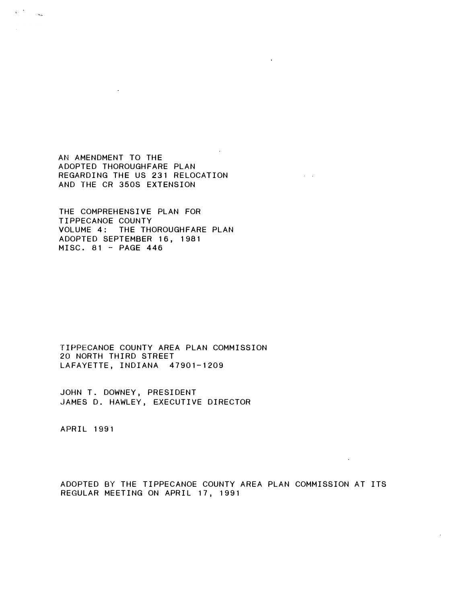AN AMENDMENT TO THE ADOPTED THOROUGHFARE PLAN REGARDING THE US 231 RELOCATION AND THE CR 350S EXTENSION

THE COMPREHENSIVE PLAN FOR TIPPECANOE COUNTY VOLUME 4: THE THOROUGHFARE PLAN ADOPTED SEPTEMBER 16, 1981 MISC. 81 - PAGE 446

TIPPECANOE COUNTY AREA PLAN COMMISSION 20 NORTH THIRD STREET LAFAYETTE, INDIANA 47901-1209

JOHN T. DOWNEY, PRESIDENT JAMES D. HAWLEY, EXECUTIVE DIRECTOR

**APRIL 1991** 

 $\sqrt{2}$ 

 $\mathbb{R}$ 

ADOPTED BY THE TIPPECANOE COUNTY AREA PLAN COMMISSION AT ITS REGULAR MEETING ON APRIL 17, 1991

 $\mathbf{r}$ 

 $\sim 10^{11}$  km s  $^{-1}$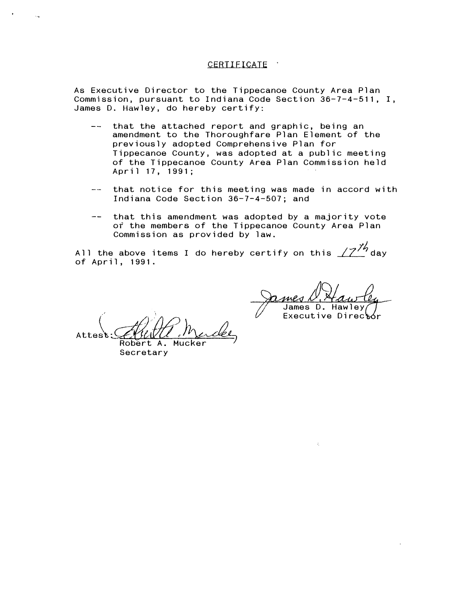## CERTIFICATE

As Executive Director to the Tippecanoe County Area Plan Commission, pursuant to Indiana Code Section 36-7-4-511, I, James D. Hawley, do hereby certify:

- that the attached report and graphic, being an  $\frac{1}{2}$  and  $\frac{1}{2}$ amendment to the Thoroughfare Plan Element of the previously adopted Comprehensive Plan for Tippecanoe County, was adopted at a public meeting of the Tippecanoe County Area Plan Commission held April 17, 1991;
- $\frac{1}{2}$ that notice for this meeting was made in accord with Indiana Code Section 36-7-4-507; and
- that this amendment was adopted by a majority vote of the members of the Tippecanoe County Area Plan Commission as provided by law.

All the above items I do hereby certify on this  $\sqrt{7}^{\frac{1}{2}}$  day of April, 1991.

James D. Hawley Executive Director

Attest: Alittle Marder

Robert A. Mucker Secretary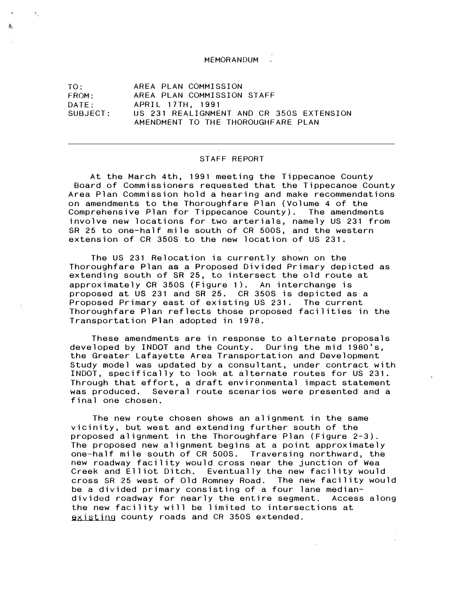## MEMORANDUM

TO: AREA PLAN COMMISSION FROM: AREA PLAN COMMISSION STAFF DATE : APRIL 17TH, 1991 US 231 REALIGNMENT AND CR 350S EXTENSION AMENDMENT TO THE THOROUGHFARE PLAN

ŧ,

蠢

## STAFF REPORT

At the March 4th, 1 991 meeting the Tippecanoe County Board of Commissioners requested that the Tippecanoe County Area Plan Commission hold a hearing and make recommendations on amendments to the Thoroughfare Plan (Volume 4 of the Comprehensive Plan for Tippecanoe County). The amendments involve new locations for two arterials, namely US 231 from SR 25 to one-half mile south of CR 500S, and the western extension of CR 350S to the new location of US 231.

The US 231 Relocation is currently shown on the Thoroughfare Plan as a Proposed Divided Primary depicted as extending south of SR 25, to intersect the old route at approximately CR 350S (Figure 1). An interchange is proposed at US 231 and SR 25. CR 3508 is depicted as a Proposed Primary east of existing US 231. The current Thoroughfare Plan reflects those proposed facilities in the Transportation Plan adopted in 1978.

These amendments are in response to alternate proposals developed by INDOT and the County. During the mid 1980's, the Greater Lafayette Area Transportation and Development Study model was updated by a consultant, under contract with INDOT, specifically to look at alternate routes for US 231 . Through that effort, a draft environmental impact statement was produced. Several route scenarios were presented and a final one chosen.

existing county roads and CR 350S extended. The new route chosen shows an alignment in the same vicinity, but west and extending further south of the proposed alignment in the Thoroughfare Plan (Figure 2-3). The proposed new alignment begins at a point approximately one-half mile south of CR 500S. Traversing northward, the new roadway facility would cross near the junction of Wea Creek and Elliot Ditch. Eventually the new facility would cross SR 25 west of Old Romney Road. The new facility would be a divided primary consisting of a four lane mediandivided roadway for nearly the entire segment. Access along the new facility will be limited to intersections at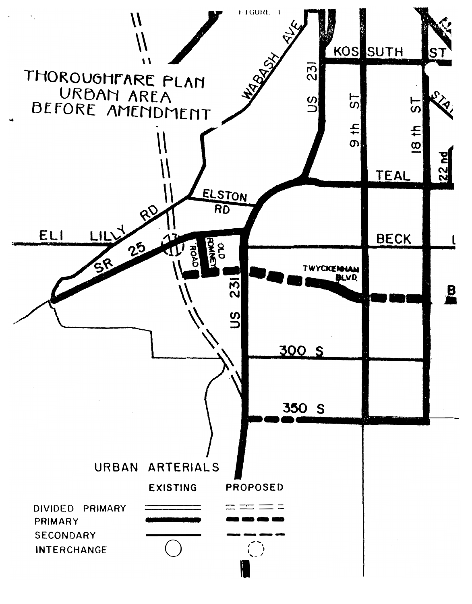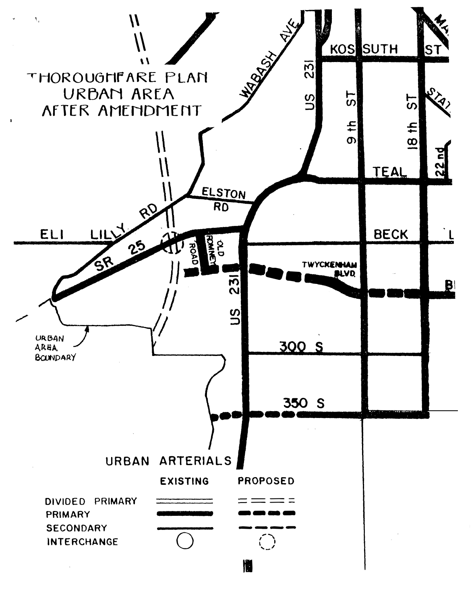